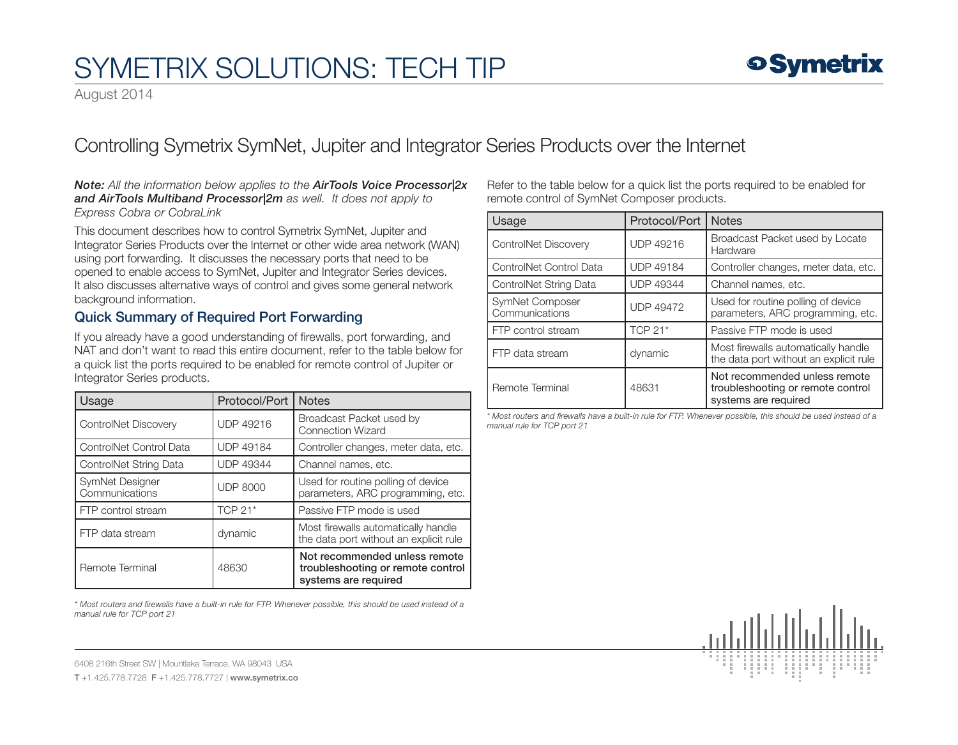August 2014

## Controlling Symetrix SymNet, Jupiter and Integrator Series Products over the Internet

#### *Note: All the information below applies to the AirTools Voice Processor|2x and AirTools Multiband Processor|2m as well. It does not apply to Express Cobra or CobraLink*

This document describes how to control Symetrix SymNet, Jupiter and Integrator Series Products over the Internet or other wide area network (WAN) using port forwarding. It discusses the necessary ports that need to be opened to enable access to SymNet, Jupiter and Integrator Series devices. It also discusses alternative ways of control and gives some general network background information.

### Quick Summary of Required Port Forwarding

If you already have a good understanding of firewalls, port forwarding, and NAT and don't want to read this entire document, refer to the table below for a quick list the ports required to be enabled for remote control of Jupiter or Integrator Series products.

| Usage                             | Protocol/Port    | <b>Notes</b>                                                                               |
|-----------------------------------|------------------|--------------------------------------------------------------------------------------------|
| ControlNet Discovery              | <b>UDP 49216</b> | Broadcast Packet used by<br><b>Connection Wizard</b>                                       |
| ControlNet Control Data           | <b>UDP 49184</b> | Controller changes, meter data, etc.                                                       |
| ControlNet String Data            | <b>UDP 49344</b> | Channel names, etc.                                                                        |
| SymNet Designer<br>Communications | <b>UDP 8000</b>  | Used for routine polling of device<br>parameters, ARC programming, etc.                    |
| FTP control stream                | TCP 21*          | Passive FTP mode is used                                                                   |
| FTP data stream                   | dynamic          | Most firewalls automatically handle<br>the data port without an explicit rule              |
| Remote Terminal                   | 48630            | Not recommended unless remote<br>troubleshooting or remote control<br>systems are required |

*\* Most routers and firewalls have a built-in rule for FTP. Whenever possible, this should be used instead of a manual rule for TCP port 21*

Refer to the table below for a quick list the ports required to be enabled for remote control of SymNet Composer products.

| Usage                             | Protocol/Port    | <b>Notes</b>                                                                               |
|-----------------------------------|------------------|--------------------------------------------------------------------------------------------|
| ControlNet Discovery              | <b>UDP 49216</b> | Broadcast Packet used by Locate<br>Hardware                                                |
| ControlNet Control Data           | <b>UDP 49184</b> | Controller changes, meter data, etc.                                                       |
| ControlNet String Data            | <b>UDP 49344</b> | Channel names, etc.                                                                        |
| SymNet Composer<br>Communications | <b>UDP 49472</b> | Used for routine polling of device<br>parameters, ARC programming, etc.                    |
| FTP control stream                | <b>TCP 21*</b>   | Passive FTP mode is used                                                                   |
| FTP data stream                   | dynamic          | Most firewalls automatically handle<br>the data port without an explicit rule              |
| Remote Terminal                   | 48631            | Not recommended unless remote<br>troubleshooting or remote control<br>systems are required |

*\* Most routers and firewalls have a built-in rule for FTP. Whenever possible, this should be used instead of a manual rule for TCP port 21*

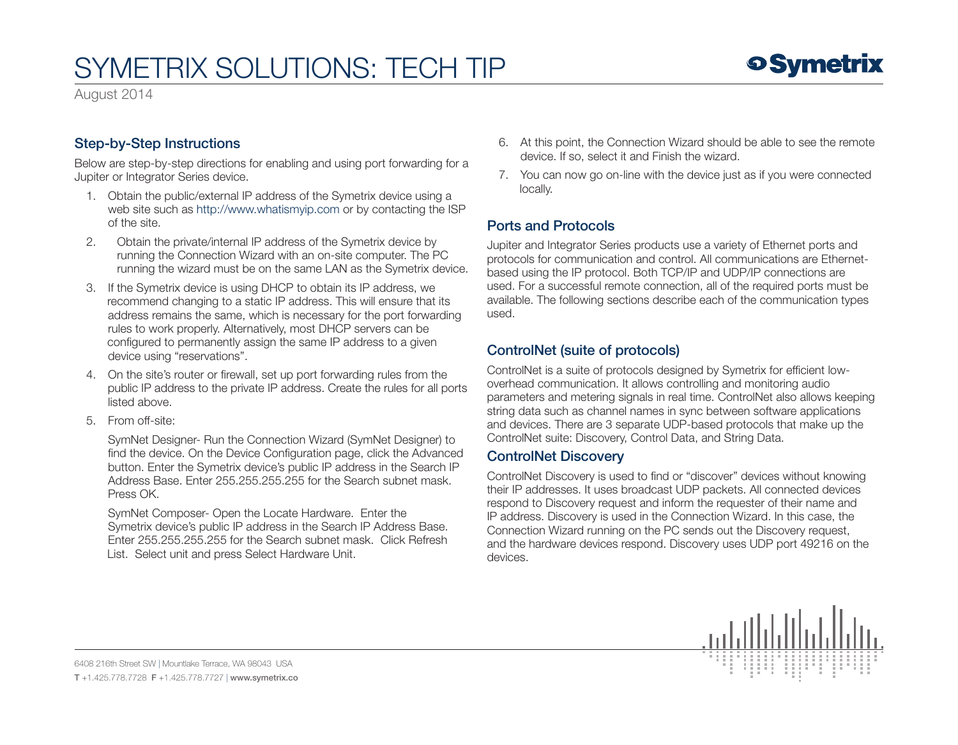August 2014

### Step-by-Step Instructions

Below are step-by-step directions for enabling and using port forwarding for a Jupiter or Integrator Series device.

- 1. Obtain the public/external IP address of the Symetrix device using a web site such as<http://www.whatismyip.com> or by contacting the ISP of the site.
- 2. Obtain the private/internal IP address of the Symetrix device by running the Connection Wizard with an on-site computer. The PC running the wizard must be on the same LAN as the Symetrix device.
- 3. If the Symetrix device is using DHCP to obtain its IP address, we recommend changing to a static IP address. This will ensure that its address remains the same, which is necessary for the port forwarding rules to work properly. Alternatively, most DHCP servers can be configured to permanently assign the same IP address to a given device using "reservations".
- 4. On the site's router or firewall, set up port forwarding rules from the public IP address to the private IP address. Create the rules for all ports listed above.
- 5. From off-site:

 SymNet Designer- Run the Connection Wizard (SymNet Designer) to find the device. On the Device Configuration page, click the Advanced button. Enter the Symetrix device's public IP address in the Search IP Address Base. Enter 255.255.255.255 for the Search subnet mask. Press OK.

 SymNet Composer- Open the Locate Hardware. Enter the Symetrix device's public IP address in the Search IP Address Base. Enter 255.255.255.255 for the Search subnet mask. Click Refresh List. Select unit and press Select Hardware Unit.

- 6. At this point, the Connection Wizard should be able to see the remote device. If so, select it and Finish the wizard.
- 7. You can now go on-line with the device just as if you were connected locally.

### Ports and Protocols

Jupiter and Integrator Series products use a variety of Ethernet ports and protocols for communication and control. All communications are Ethernetbased using the IP protocol. Both TCP/IP and UDP/IP connections are used. For a successful remote connection, all of the required ports must be available. The following sections describe each of the communication types used.

### ControlNet (suite of protocols)

ControlNet is a suite of protocols designed by Symetrix for efficient lowoverhead communication. It allows controlling and monitoring audio parameters and metering signals in real time. ControlNet also allows keeping string data such as channel names in sync between software applications and devices. There are 3 separate UDP-based protocols that make up the ControlNet suite: Discovery, Control Data, and String Data.

#### ControlNet Discovery

ControlNet Discovery is used to find or "discover" devices without knowing their IP addresses. It uses broadcast UDP packets. All connected devices respond to Discovery request and inform the requester of their name and IP address. Discovery is used in the Connection Wizard. In this case, the Connection Wizard running on the PC sends out the Discovery request, and the hardware devices respond. Discovery uses UDP port 49216 on the devices.

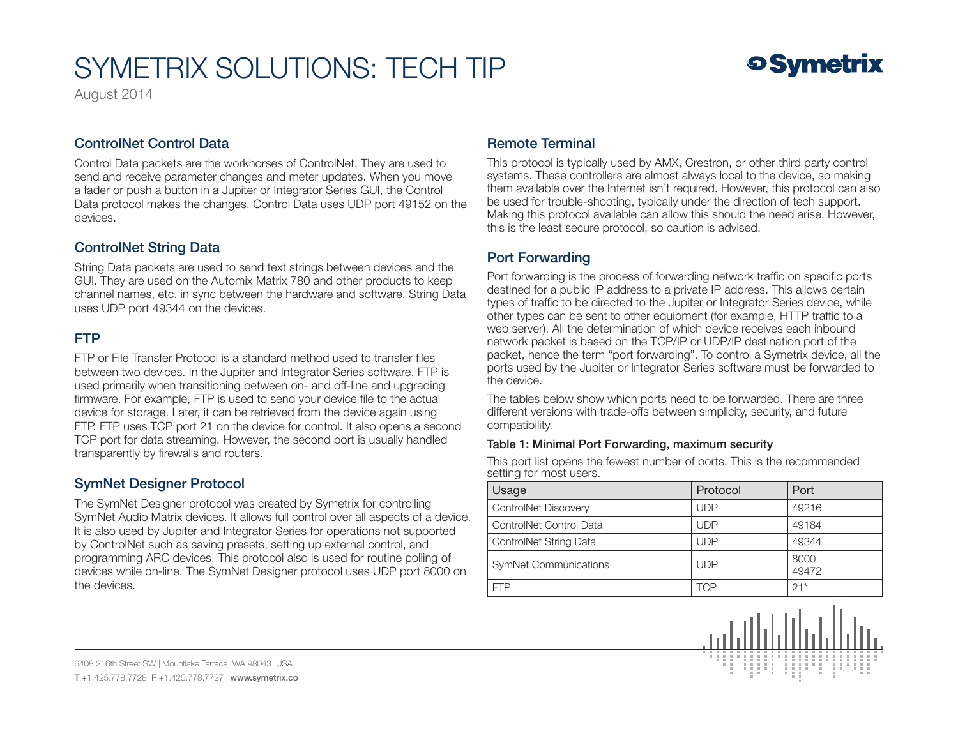August 2014

### ControlNet Control Data

Control Data packets are the workhorses of ControlNet. They are used to send and receive parameter changes and meter updates. When you move a fader or push a button in a Jupiter or Integrator Series GUI, the Control Data protocol makes the changes. Control Data uses UDP port 49152 on the devices.

### ControlNet String Data

String Data packets are used to send text strings between devices and the GUI. They are used on the Automix Matrix 780 and other products to keep channel names, etc. in sync between the hardware and software. String Data uses UDP port 49344 on the devices.

### FTP

FTP or File Transfer Protocol is a standard method used to transfer files between two devices. In the Jupiter and Integrator Series software, FTP is used primarily when transitioning between on- and off-line and upgrading firmware. For example, FTP is used to send your device file to the actual device for storage. Later, it can be retrieved from the device again using FTP. FTP uses TCP port 21 on the device for control. It also opens a second TCP port for data streaming. However, the second port is usually handled transparently by firewalls and routers.

### SymNet Designer Protocol

The SymNet Designer protocol was created by Symetrix for controlling SymNet Audio Matrix devices. It allows full control over all aspects of a device. It is also used by Jupiter and Integrator Series for operations not supported by ControlNet such as saving presets, setting up external control, and programming ARC devices. This protocol also is used for routine polling of devices while on-line. The SymNet Designer protocol uses UDP port 8000 on the devices.

### Remote Terminal

This protocol is typically used by AMX, Crestron, or other third party control systems. These controllers are almost always local to the device, so making them available over the Internet isn't required. However, this protocol can also be used for trouble-shooting, typically under the direction of tech support. Making this protocol available can allow this should the need arise. However, this is the least secure protocol, so caution is advised.

## Port Forwarding

Port forwarding is the process of forwarding network traffic on specific ports destined for a public IP address to a private IP address. This allows certain types of traffic to be directed to the Jupiter or Integrator Series device, while other types can be sent to other equipment (for example, HTTP traffic to a web server). All the determination of which device receives each inbound network packet is based on the TCP/IP or UDP/IP destination port of the packet, hence the term "port forwarding". To control a Symetrix device, all the ports used by the Jupiter or Integrator Series software must be forwarded to the device.

The tables below show which ports need to be forwarded. There are three different versions with trade-offs between simplicity, security, and future compatibility.

#### Table 1: Minimal Port Forwarding, maximum security

This port list opens the fewest number of ports. This is the recommended setting for most users.

| <b>Usage</b>            | Protocol   | Port          |
|-------------------------|------------|---------------|
| ControlNet Discovery    | <b>UDP</b> | 49216         |
| ControlNet Control Data | <b>UDP</b> | 49184         |
| ControlNet String Data  | <b>UDP</b> | 49344         |
| SymNet Communications   | <b>UDP</b> | 8000<br>49472 |
|                         | TCP        | $21*$         |

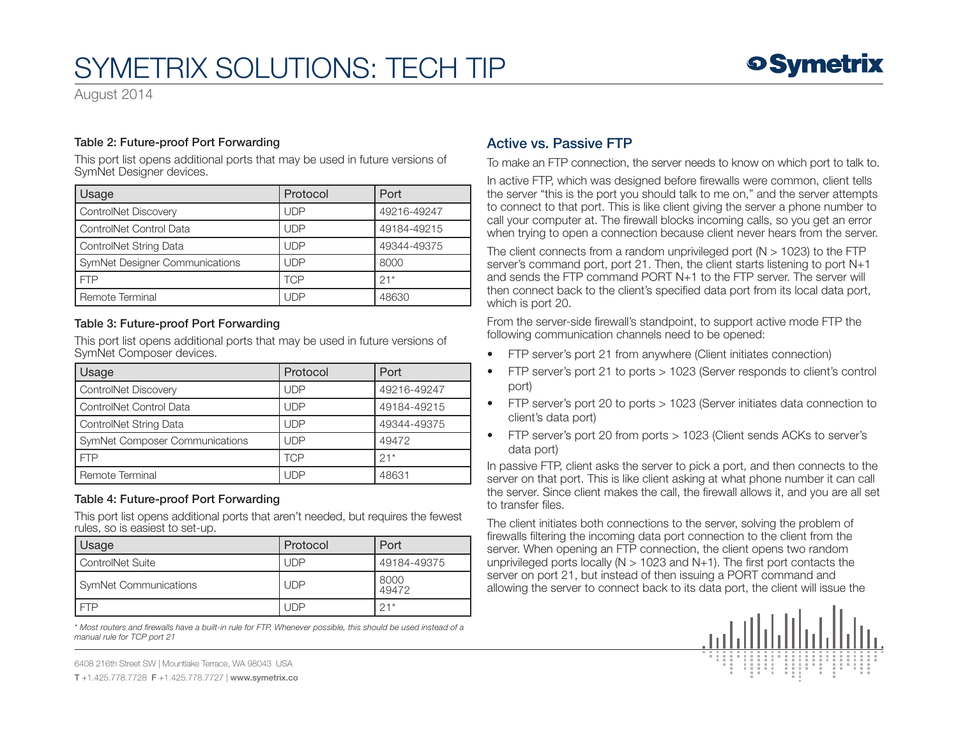August 2014

#### Table 2: Future-proof Port Forwarding

This port list opens additional ports that may be used in future versions of SymNet Designer devices.

| Usage                                 | Protocol   | Port        |
|---------------------------------------|------------|-------------|
| ControlNet Discovery                  | <b>UDP</b> | 49216-49247 |
| ControlNet Control Data               | <b>UDP</b> | 49184-49215 |
| ControlNet String Data                | <b>UDP</b> | 49344-49375 |
| <b>SymNet Designer Communications</b> | <b>UDP</b> | 8000        |
| <b>FTP</b>                            | TCP        | $21*$       |
| Remote Terminal                       | <b>UDP</b> | 48630       |

#### Table 3: Future-proof Port Forwarding

This port list opens additional ports that may be used in future versions of SymNet Composer devices.

| Usage                                 | Protocol   | Port        |
|---------------------------------------|------------|-------------|
| <b>ControlNet Discovery</b>           | <b>UDP</b> | 49216-49247 |
| ControlNet Control Data               | <b>UDP</b> | 49184-49215 |
| ControlNet String Data                | <b>UDP</b> | 49344-49375 |
| <b>SymNet Composer Communications</b> | <b>UDP</b> | 49472       |
| <b>FTP</b>                            | <b>TCP</b> | $21*$       |
| Remote Terminal                       | UDP        | 48631       |

#### Table 4: Future-proof Port Forwarding

This port list opens additional ports that aren't needed, but requires the fewest rules, so is easiest to set-up.

| Usage                   | Protocol   | Port          |
|-------------------------|------------|---------------|
| <b>ControlNet Suite</b> | UDP        | 49184-49375   |
| SymNet Communications   | <b>UDP</b> | 8000<br>49472 |
|                         | l JDP      | $21*$         |

*\* Most routers and firewalls have a built-in rule for FTP. Whenever possible, this should be used instead of a manual rule for TCP port 21*

6408 216th Street SW | Mountlake Terrace, WA 98043 USA

T +1.425.778.7728 F +1.425.778.7727 | www.symetrix.co

### Active vs. Passive FTP

To make an FTP connection, the server needs to know on which port to talk to.

In active FTP, which was designed before firewalls were common, client tells the server "this is the port you should talk to me on," and the server attempts to connect to that port. This is like client giving the server a phone number to call your computer at. The firewall blocks incoming calls, so you get an error when trying to open a connection because client never hears from the server.

The client connects from a random unprivileged port ( $N > 1023$ ) to the FTP server's command port, port 21. Then, the client starts listening to port N+1 and sends the FTP command PORT N+1 to the FTP server. The server will then connect back to the client's specified data port from its local data port, which is port 20.

From the server-side firewall's standpoint, to support active mode FTP the following communication channels need to be opened:

- FTP server's port 21 from anywhere (Client initiates connection)
- FTP server's port 21 to ports > 1023 (Server responds to client's control port)
- FTP server's port 20 to ports > 1023 (Server initiates data connection to client's data port)
- FTP server's port 20 from ports > 1023 (Client sends ACKs to server's data port)

In passive FTP, client asks the server to pick a port, and then connects to the server on that port. This is like client asking at what phone number it can call the server. Since client makes the call, the firewall allows it, and you are all set to transfer files.

The client initiates both connections to the server, solving the problem of firewalls filtering the incoming data port connection to the client from the server. When opening an FTP connection, the client opens two random unprivileged ports locally ( $N > 1023$  and  $N+1$ ). The first port contacts the server on port 21, but instead of then issuing a PORT command and allowing the server to connect back to its data port, the client will issue the

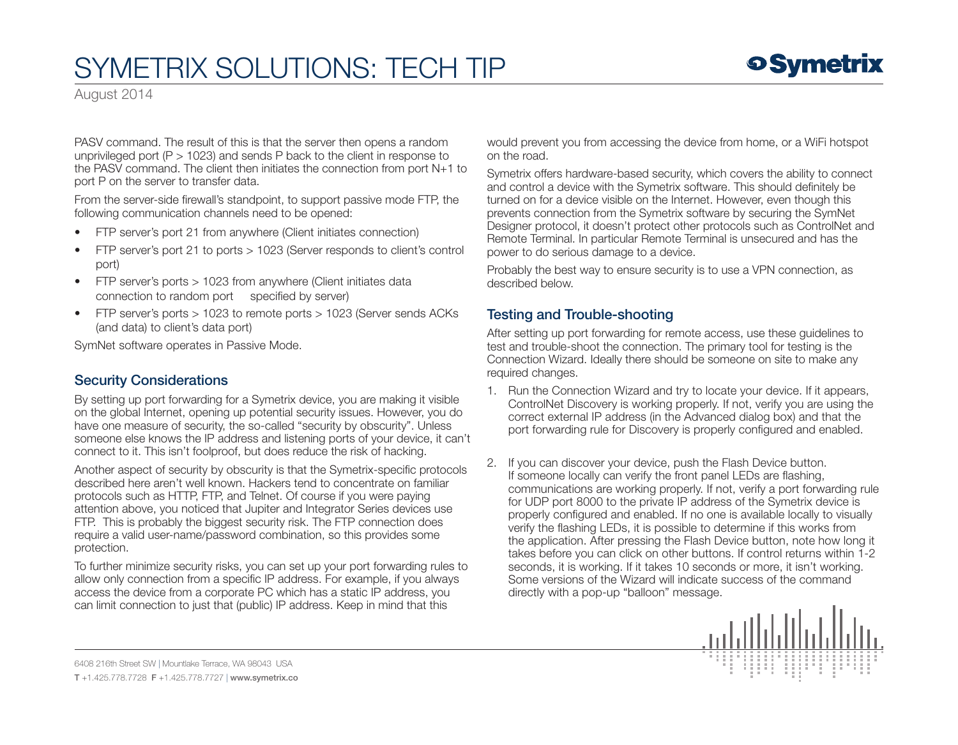August 2014

PASV command. The result of this is that the server then opens a random unprivileged port ( $P > 1023$ ) and sends P back to the client in response to the PASV command. The client then initiates the connection from port N+1 to port P on the server to transfer data.

From the server-side firewall's standpoint, to support passive mode FTP, the following communication channels need to be opened:

- FTP server's port 21 from anywhere (Client initiates connection)
- FTP server's port 21 to ports > 1023 (Server responds to client's control port)
- FTP server's ports > 1023 from anywhere (Client initiates data connection to random port specified by server)
- FTP server's ports > 1023 to remote ports > 1023 (Server sends ACKs (and data) to client's data port)

SymNet software operates in Passive Mode.

### Security Considerations

By setting up port forwarding for a Symetrix device, you are making it visible on the global Internet, opening up potential security issues. However, you do have one measure of security, the so-called "security by obscurity". Unless someone else knows the IP address and listening ports of your device, it can't connect to it. This isn't foolproof, but does reduce the risk of hacking.

Another aspect of security by obscurity is that the Symetrix-specific protocols described here aren't well known. Hackers tend to concentrate on familiar protocols such as HTTP, FTP, and Telnet. Of course if you were paying attention above, you noticed that Jupiter and Integrator Series devices use FTP. This is probably the biggest security risk. The FTP connection does require a valid user-name/password combination, so this provides some protection.

To further minimize security risks, you can set up your port forwarding rules to allow only connection from a specific IP address. For example, if you always access the device from a corporate PC which has a static IP address, you can limit connection to just that (public) IP address. Keep in mind that this

would prevent you from accessing the device from home, or a WiFi hotspot on the road.

Symetrix offers hardware-based security, which covers the ability to connect and control a device with the Symetrix software. This should definitely be turned on for a device visible on the Internet. However, even though this prevents connection from the Symetrix software by securing the SymNet Designer protocol, it doesn't protect other protocols such as ControlNet and Remote Terminal. In particular Remote Terminal is unsecured and has the power to do serious damage to a device.

Probably the best way to ensure security is to use a VPN connection, as described below.

### Testing and Trouble-shooting

After setting up port forwarding for remote access, use these guidelines to test and trouble-shoot the connection. The primary tool for testing is the Connection Wizard. Ideally there should be someone on site to make any required changes.

- 1. Run the Connection Wizard and try to locate your device. If it appears, ControlNet Discovery is working properly. If not, verify you are using the correct external IP address (in the Advanced dialog box) and that the port forwarding rule for Discovery is properly configured and enabled.
- 2. If you can discover your device, push the Flash Device button. If someone locally can verify the front panel LEDs are flashing, communications are working properly. If not, verify a port forwarding rule for UDP port 8000 to the private IP address of the Symetrix device is properly configured and enabled. If no one is available locally to visually verify the flashing LEDs, it is possible to determine if this works from the application. After pressing the Flash Device button, note how long it takes before you can click on other buttons. If control returns within 1-2 seconds, it is working. If it takes 10 seconds or more, it isn't working. Some versions of the Wizard will indicate success of the command directly with a pop-up "balloon" message.

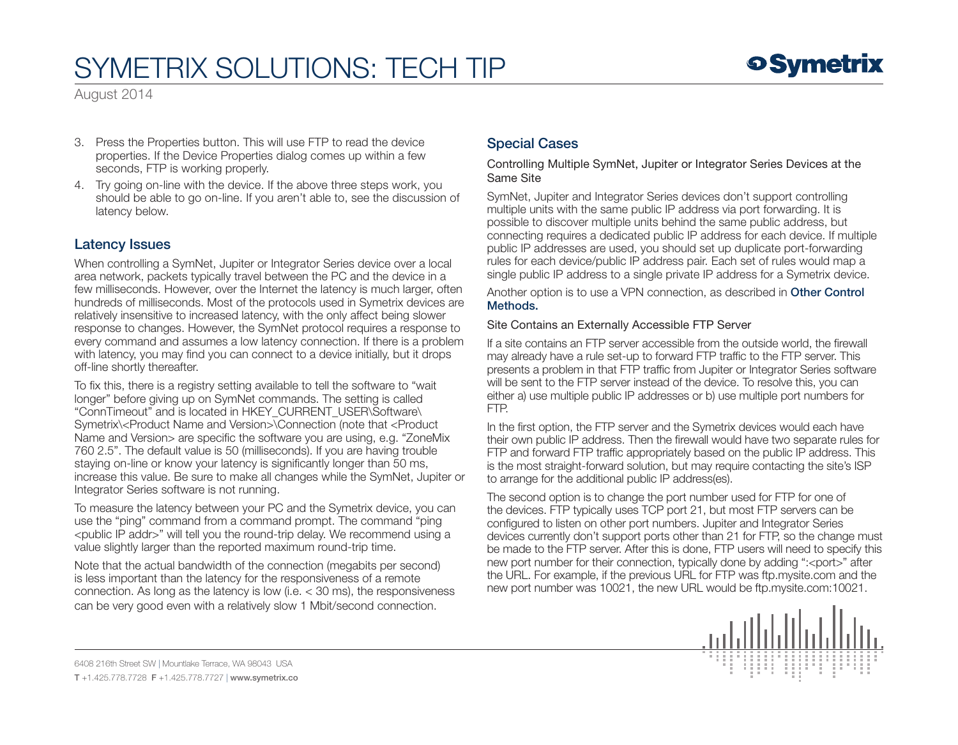August 2014

- 3. Press the Properties button. This will use FTP to read the device properties. If the Device Properties dialog comes up within a few seconds, FTP is working properly.
- 4. Try going on-line with the device. If the above three steps work, you should be able to go on-line. If you aren't able to, see the discussion of latency below.

#### Latency Issues

When controlling a SymNet, Jupiter or Integrator Series device over a local area network, packets typically travel between the PC and the device in a few milliseconds. However, over the Internet the latency is much larger, often hundreds of milliseconds. Most of the protocols used in Symetrix devices are relatively insensitive to increased latency, with the only affect being slower response to changes. However, the SymNet protocol requires a response to every command and assumes a low latency connection. If there is a problem with latency, you may find you can connect to a device initially, but it drops off-line shortly thereafter.

To fix this, there is a registry setting available to tell the software to "wait longer" before giving up on SymNet commands. The setting is called "ConnTimeout" and is located in HKEY\_CURRENT\_USER\Software\ Symetrix\<Product Name and Version>\Connection (note that <Product Name and Version> are specific the software you are using, e.g. "ZoneMix 760 2.5". The default value is 50 (milliseconds). If you are having trouble staying on-line or know your latency is significantly longer than 50 ms, increase this value. Be sure to make all changes while the SymNet, Jupiter or Integrator Series software is not running.

To measure the latency between your PC and the Symetrix device, you can use the "ping" command from a command prompt. The command "ping <public IP addr>" will tell you the round-trip delay. We recommend using a value slightly larger than the reported maximum round-trip time.

Note that the actual bandwidth of the connection (megabits per second) is less important than the latency for the responsiveness of a remote connection. As long as the latency is low (i.e. < 30 ms), the responsiveness can be very good even with a relatively slow 1 Mbit/second connection.

## Special Cases

Controlling Multiple SymNet, Jupiter or Integrator Series Devices at the Same Site

SymNet, Jupiter and Integrator Series devices don't support controlling multiple units with the same public IP address via port forwarding. It is possible to discover multiple units behind the same public address, but connecting requires a dedicated public IP address for each device. If multiple public IP addresses are used, you should set up duplicate port-forwarding rules for each device/public IP address pair. Each set of rules would map a single public IP address to a single private IP address for a Symetrix device.

Another option is to use a VPN connection, as described in Other Control Methods.

#### Site Contains an Externally Accessible FTP Server

If a site contains an FTP server accessible from the outside world, the firewall may already have a rule set-up to forward FTP traffic to the FTP server. This presents a problem in that FTP traffic from Jupiter or Integrator Series software will be sent to the FTP server instead of the device. To resolve this, you can either a) use multiple public IP addresses or b) use multiple port numbers for FTP.

In the first option, the FTP server and the Symetrix devices would each have their own public IP address. Then the firewall would have two separate rules for FTP and forward FTP traffic appropriately based on the public IP address. This is the most straight-forward solution, but may require contacting the site's ISP to arrange for the additional public IP address(es).

The second option is to change the port number used for FTP for one of the devices. FTP typically uses TCP port 21, but most FTP servers can be configured to listen on other port numbers. Jupiter and Integrator Series devices currently don't support ports other than 21 for FTP, so the change must be made to the FTP server. After this is done, FTP users will need to specify this new port number for their connection, typically done by adding ":<port>" after the URL. For example, if the previous URL for FTP was ftp.mysite.com and the new port number was 10021, the new URL would be ftp.mysite.com:10021.

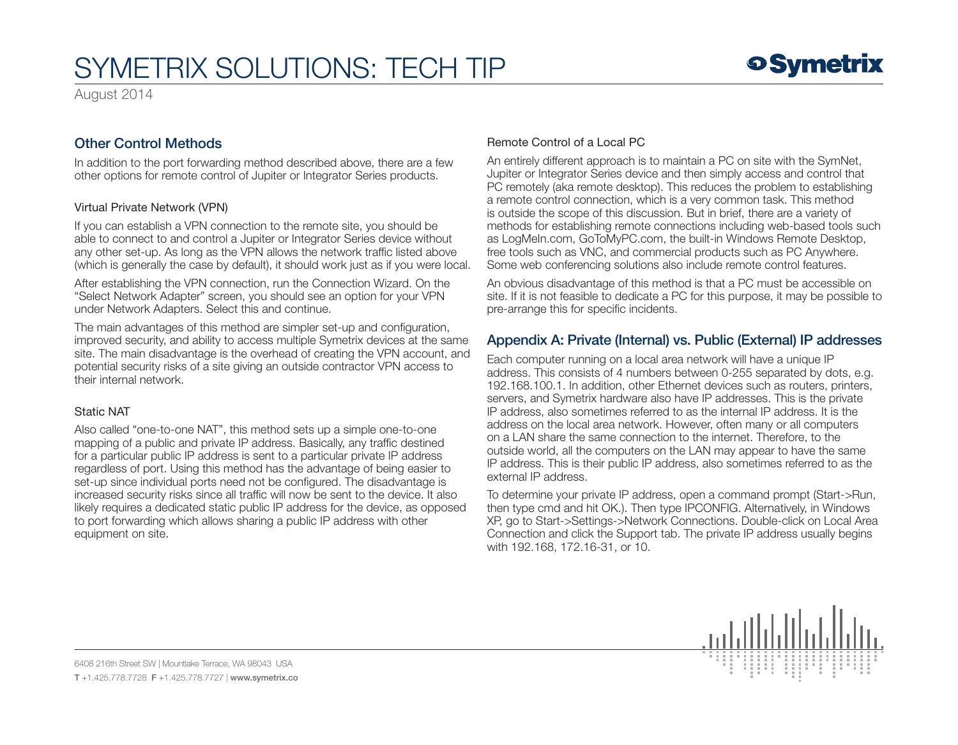August 2014

## Other Control Methods

In addition to the port forwarding method described above, there are a few other options for remote control of Jupiter or Integrator Series products.

#### Virtual Private Network (VPN)

If you can establish a VPN connection to the remote site, you should be able to connect to and control a Jupiter or Integrator Series device without any other set-up. As long as the VPN allows the network traffic listed above (which is generally the case by default), it should work just as if you were local.

After establishing the VPN connection, run the Connection Wizard. On the "Select Network Adapter" screen, you should see an option for your VPN under Network Adapters. Select this and continue.

The main advantages of this method are simpler set-up and configuration, improved security, and ability to access multiple Symetrix devices at the same site. The main disadvantage is the overhead of creating the VPN account, and potential security risks of a site giving an outside contractor VPN access to their internal network.

#### Static NAT

Also called "one-to-one NAT", this method sets up a simple one-to-one mapping of a public and private IP address. Basically, any traffic destined for a particular public IP address is sent to a particular private IP address regardless of port. Using this method has the advantage of being easier to set-up since individual ports need not be configured. The disadvantage is increased security risks since all traffic will now be sent to the device. It also likely requires a dedicated static public IP address for the device, as opposed to port forwarding which allows sharing a public IP address with other equipment on site.

#### Remote Control of a Local PC

An entirely different approach is to maintain a PC on site with the SymNet, Jupiter or Integrator Series device and then simply access and control that PC remotely (aka remote desktop). This reduces the problem to establishing a remote control connection, which is a very common task. This method is outside the scope of this discussion. But in brief, there are a variety of methods for establishing remote connections including web-based tools such as LogMeIn.com, GoToMyPC.com, the built-in Windows Remote Desktop, free tools such as VNC, and commercial products such as PC Anywhere. Some web conferencing solutions also include remote control features.

An obvious disadvantage of this method is that a PC must be accessible on site. If it is not feasible to dedicate a PC for this purpose, it may be possible to pre-arrange this for specific incidents.

## Appendix A: Private (Internal) vs. Public (External) IP addresses

Each computer running on a local area network will have a unique IP address. This consists of 4 numbers between 0-255 separated by dots, e.g. 192.168.100.1. In addition, other Ethernet devices such as routers, printers, servers, and Symetrix hardware also have IP addresses. This is the private IP address, also sometimes referred to as the internal IP address. It is the address on the local area network. However, often many or all computers on a LAN share the same connection to the internet. Therefore, to the outside world, all the computers on the LAN may appear to have the same IP address. This is their public IP address, also sometimes referred to as the external IP address.

To determine your private IP address, open a command prompt (Start->Run, then type cmd and hit OK.). Then type IPCONFIG. Alternatively, in Windows XP, go to Start->Settings->Network Connections. Double-click on Local Area Connection and click the Support tab. The private IP address usually begins with 192.168, 172.16-31, or 10.